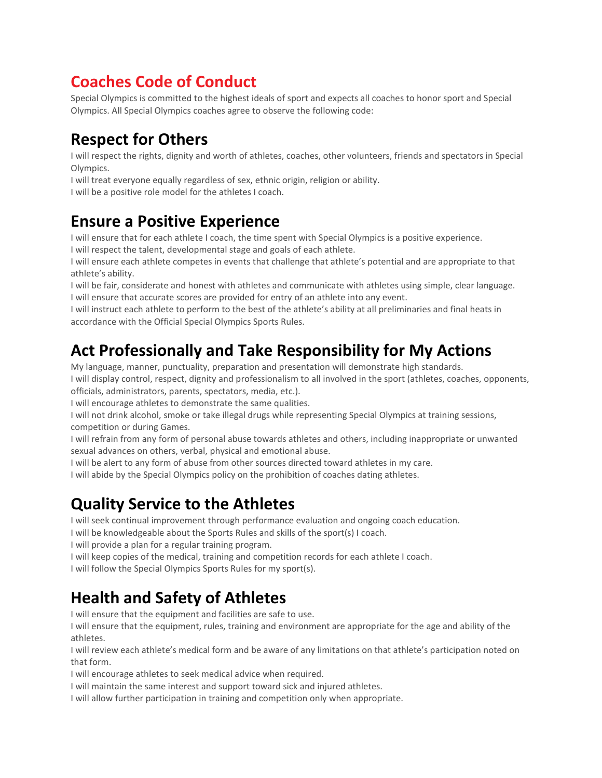#### **Coaches Code of Conduct**

Special Olympics is committed to the highest ideals of sport and expects all coaches to honor sport and Special Olympics. All Special Olympics coaches agree to observe the following code:

# **Respect for Others**

I will respect the rights, dignity and worth of athletes, coaches, other volunteers, friends and spectators in Special Olympics.

I will treat everyone equally regardless of sex, ethnic origin, religion or ability.

I will be a positive role model for the athletes I coach.

#### **Ensure a Positive Experience**

I will ensure that for each athlete I coach, the time spent with Special Olympics is a positive experience.

I will respect the talent, developmental stage and goals of each athlete.

I will ensure each athlete competes in events that challenge that athlete's potential and are appropriate to that athlete's ability.

I will be fair, considerate and honest with athletes and communicate with athletes using simple, clear language. I will ensure that accurate scores are provided for entry of an athlete into any event.

I will instruct each athlete to perform to the best of the athlete's ability at all preliminaries and final heats in accordance with the Official Special Olympics Sports Rules.

# **Act Professionally and Take Responsibility for My Actions**

My language, manner, punctuality, preparation and presentation will demonstrate high standards.

I will display control, respect, dignity and professionalism to all involved in the sport (athletes, coaches, opponents, officials, administrators, parents, spectators, media, etc.).

I will encourage athletes to demonstrate the same qualities.

I will not drink alcohol, smoke or take illegal drugs while representing Special Olympics at training sessions, competition or during Games.

I will refrain from any form of personal abuse towards athletes and others, including inappropriate or unwanted sexual advances on others, verbal, physical and emotional abuse.

I will be alert to any form of abuse from other sources directed toward athletes in my care.

I will abide by the Special Olympics policy on the prohibition of coaches dating athletes.

#### **Quality Service to the Athletes**

I will seek continual improvement through performance evaluation and ongoing coach education.

I will be knowledgeable about the Sports Rules and skills of the sport(s) I coach.

I will provide a plan for a regular training program.

I will keep copies of the medical, training and competition records for each athlete I coach.

I will follow the Special Olympics Sports Rules for my sport(s).

# **Health and Safety of Athletes**

I will ensure that the equipment and facilities are safe to use.

I will ensure that the equipment, rules, training and environment are appropriate for the age and ability of the athletes.

I will review each athlete's medical form and be aware of any limitations on that athlete's participation noted on that form.

I will encourage athletes to seek medical advice when required.

I will maintain the same interest and support toward sick and injured athletes.

I will allow further participation in training and competition only when appropriate.